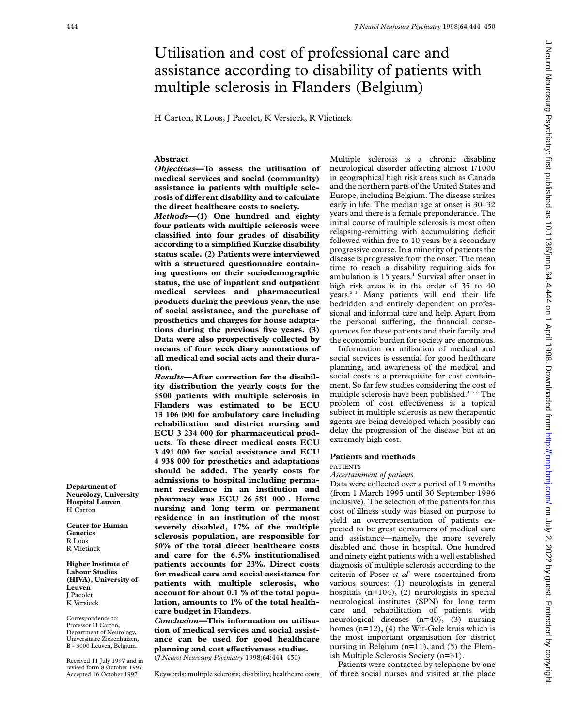# Utilisation and cost of professional care and assistance according to disability of patients with multiple sclerosis in Flanders (Belgium)

H Carton, R Loos, J Pacolet, K Versieck, R Vlietinck

## **Abstract**

*Objectives***—To assess the utilisation of medical services and social (community) assistance in patients with multiple sclerosis of diVerent disability and to calculate the direct healthcare costs to society.**

*Methods***—(1) One hundred and eighty four patients with multiple sclerosis were classified into four grades of disability according to a simplified Kurzke disability status scale. (2) Patients were interviewed with a structured questionnaire containing questions on their sociodemographic status, the use of inpatient and outpatient medical services and pharmaceutical products during the previous year, the use of social assistance, and the purchase of prosthetics and charges for house adaptations during the previous five years. (3) Data were also prospectively collected by means of four week diary annotations of all medical and social acts and their duration.**

*Results***—After correction for the disability distribution the yearly costs for the 5500 patients with multiple sclerosis in Flanders was estimated to be ECU 13 106 000 for ambulatory care including rehabilitation and district nursing and ECU 3 234 000 for pharmaceutical products. To these direct medical costs ECU 3 491 000 for social assistance and ECU 4 938 000 for prosthetics and adaptations should be added. The yearly costs for admissions to hospital including permanent residence in an institution and pharmacy was ECU 26 581 000 . Home nursing and long term or permanent residence in an institution of the most severely disabled, 17% of the multiple sclerosis population, are responsible for 50% of the total direct healthcare costs and care for the 6.5% institutionalised patients accounts for 23%. Direct costs for medical care and social assistance for patients with multiple sclerosis, who account for about 0.1 % of the total population, amounts to 1% of the total healthcare budget in Flanders.**

*Conclusion***—This information on utilisation of medical services and social assistance can be used for good healthcare** planning and cost effectiveness studies. (*J Neurol Neurosurg Psychiatry* 1998;**64**:444–450)

Keywords: multiple sclerosis; disability; healthcare costs

Multiple sclerosis is a chronic disabling neurological disorder affecting almost  $1/1000$ in geographical high risk areas such as Canada and the northern parts of the United States and Europe, including Belgium. The disease strikes early in life. The median age at onset is 30–32 years and there is a female preponderance. The initial course of multiple sclerosis is most often relapsing-remitting with accumulating deficit followed within five to 10 years by a secondary progressive course. In a minority of patients the disease is progressive from the onset. The mean time to reach a disability requiring aids for ambulation is 15 years.<sup>1</sup> Survival after onset in high risk areas is in the order of 35 to 40 years.<sup>23</sup> Many patients will end their life bedridden and entirely dependent on professional and informal care and help. Apart from the personal suffering, the financial consequences for these patients and their family and the economic burden for society are enormous.

Information on utilisation of medical and social services is essential for good healthcare planning, and awareness of the medical and social costs is a prerequisite for cost containment. So far few studies considering the cost of multiple sclerosis have been published.<sup>456</sup> The problem of cost effectiveness is a topical subject in multiple sclerosis as new therapeutic agents are being developed which possibly can delay the progression of the disease but at an extremely high cost.

## **Patients and methods**

#### PATIENTS

# *Ascertainment of patients*

Data were collected over a period of 19 months (from 1 March 1995 until 30 September 1996 inclusive). The selection of the patients for this cost of illness study was biased on purpose to yield an overrepresentation of patients expected to be great consumers of medical care and assistance—namely, the more severely disabled and those in hospital. One hundred and ninety eight patients with a well established diagnosis of multiple sclerosis according to the criteria of Poser *et al*<sup>7</sup> were ascertained from various sources: (1) neurologists in general hospitals (n=104), (2) neurologists in special neurological institutes (SPN) for long term care and rehabilitation of patients with neurological diseases (n=40), (3) nursing homes (n=12), (4) the Wit-Gele kruis which is the most important organisation for district nursing in Belgium (n=11), and (5) the Flemish Multiple Sclerosis Society (n=31).

Patients were contacted by telephone by one of three social nurses and visited at the place J Neurol Neurosurg Psychiatry: first published as 10.11136/jnnp.64.4.444 on 1 April 1998. Downloaded from http://jnnp.bmj.com/ on July 2, 2022 by guest. Protected by copyright Deprosive By guest Protected by copyright. First published as 10.11367. Protect data 10.1144 on 1 April 1998. Downloaded from the 1444 on 1 April 1998. Downloaded from the 1998. Downloaded from the 1998. Duys 2, 2022 by gu

**Department of Neurology, University Hospital Leuven** H Carton

**Center for Human Genetics** R Loos R Vlietinck

**Higher Institute of Labour Studies (HIVA), University of Leuven** J Pacolet K Versieck

Correspondence to: Professor H Carton, Department of Neurology, Universitaire Ziekenhuizen, B - 3000 Leuven, Belgium.

Received 11 July 1997 and in revised form 8 October 1997 Accepted 16 October 1997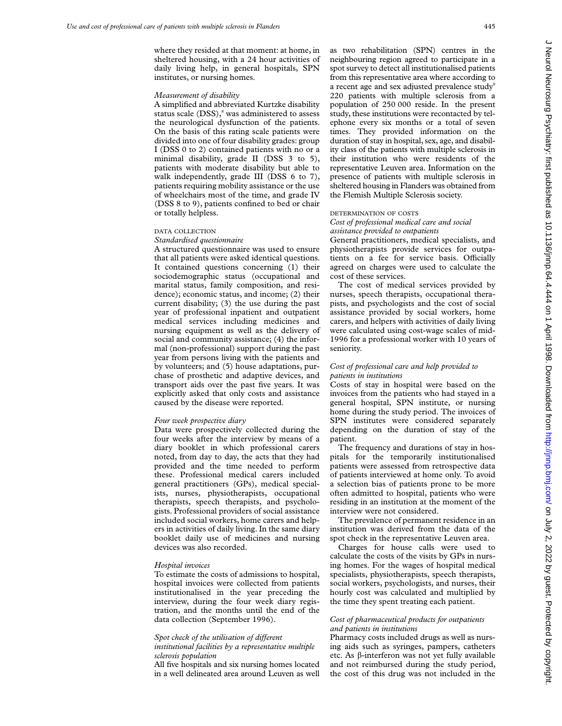where they resided at that moment: at home, in sheltered housing, with a 24 hour activities of daily living help, in general hospitals, SPN institutes, or nursing homes.

#### *Measurement of disability*

A simplified and abbreviated Kurtzke disability status scale  $(DSS)$ ,<sup>8</sup> was administered to assess the neurological dysfunction of the patients. On the basis of this rating scale patients were divided into one of four disability grades: group I (DSS 0 to 2) contained patients with no or a minimal disability, grade II (DSS 3 to 5), patients with moderate disability but able to walk independently, grade III (DSS 6 to 7), patients requiring mobility assistance or the use of wheelchairs most of the time, and grade IV (DSS 8 to 9), patients confined to bed or chair or totally helpless.

## DATA COLLECTION

# *Standardised questionnaire*

A structured questionnaire was used to ensure that all patients were asked identical questions. It contained questions concerning (1) their sociodemographic status (occupational and marital status, family composition, and residence); economic status, and income; (2) their current disability; (3) the use during the past year of professional inpatient and outpatient medical services including medicines and nursing equipment as well as the delivery of social and community assistance; (4) the informal (non-professional) support during the past year from persons living with the patients and by volunteers; and (5) house adaptations, purchase of prosthetic and adaptive devices, and transport aids over the past five years. It was explicitly asked that only costs and assistance caused by the disease were reported.

#### *Four week prospective diary*

Data were prospectively collected during the four weeks after the interview by means of a diary booklet in which professional carers noted, from day to day, the acts that they had provided and the time needed to perform these. Professional medical carers included general practitioners (GPs), medical specialists, nurses, physiotherapists, occupational therapists, speech therapists, and psychologists. Professional providers of social assistance included social workers, home carers and helpers in activities of daily living. In the same diary booklet daily use of medicines and nursing devices was also recorded.

#### *Hospital invoices*

To estimate the costs of admissions to hospital, hospital invoices were collected from patients institutionalised in the year preceding the interview, during the four week diary registration, and the months until the end of the data collection (September 1996).

## *Spot check of the utilisation of different institutional facilities by a representative multiple sclerosis population*

All five hospitals and six nursing homes located in a well delineated area around Leuven as well as two rehabilitation (SPN) centres in the neighbouring region agreed to participate in a spot survey to detect all institutionalised patients from this representative area where according to a recent age and sex adjusted prevalence study<sup>9</sup> 220 patients with multiple sclerosis from a population of 250 000 reside. In the present study, these institutions were recontacted by telephone every six months or a total of seven times. They provided information on the duration of stay in hospital, sex, age, and disability class of the patients with multiple sclerosis in their institution who were residents of the representative Leuven area. Information on the presence of patients with multiple sclerosis in sheltered housing in Flanders was obtained from the Flemish Multiple Sclerosis society.

#### DETERMINATION OF COSTS

# *Cost of professional medical care and social assistance provided to outpatients*

General practitioners, medical specialists, and physiotherapists provide services for outpatients on a fee for service basis. Officially agreed on charges were used to calculate the cost of these services.

The cost of medical services provided by nurses, speech therapists, occupational therapists, and psychologists and the cost of social assistance provided by social workers, home carers, and helpers with activities of daily living were calculated using cost-wage scales of mid-1996 for a professional worker with 10 years of seniority.

### *Cost of professional care and help provided to patients in institutions*

Costs of stay in hospital were based on the invoices from the patients who had stayed in a general hospital, SPN institute, or nursing home during the study period. The invoices of SPN institutes were considered separately depending on the duration of stay of the patient.

The frequency and durations of stay in hospitals for the temporarily institutionalised patients were assessed from retrospective data of patients interviewed at home only. To avoid a selection bias of patients prone to be more often admitted to hospital, patients who were residing in an institution at the moment of the interview were not considered.

The prevalence of permanent residence in an institution was derived from the data of the spot check in the representative Leuven area.

Charges for house calls were used to calculate the costs of the visits by GPs in nursing homes. For the wages of hospital medical specialists, physiotherapists, speech therapists, social workers, psychologists, and nurses, their hourly cost was calculated and multiplied by the time they spent treating each patient.

## *Cost of pharmaceutical products for outpatients and patients in institutions*

Pharmacy costs included drugs as well as nursing aids such as syringes, pampers, catheters etc. As  $\beta$ -interferon was not yet fully available and not reimbursed during the study period, the cost of this drug was not included in the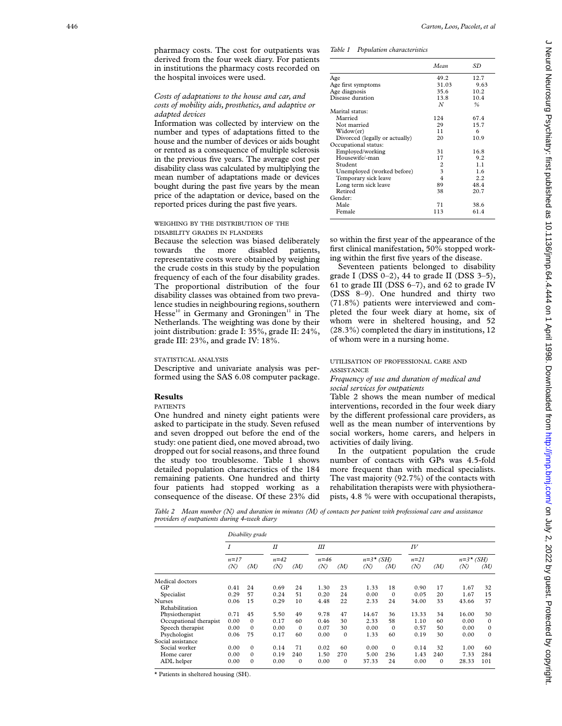### *Costs of adaptations to the house and car, and costs of mobility aids, prosthetics, and adaptive or adapted devices*

Information was collected by interview on the number and types of adaptations fitted to the house and the number of devices or aids bought or rented as a consequence of multiple sclerosis in the previous five years. The average cost per disability class was calculated by multiplying the mean number of adaptations made or devices bought during the past five years by the mean price of the adaptation or device, based on the reported prices during the past five years.

# WEIGHING BY THE DISTRIBUTION OF THE DISABILITY GRADES IN FLANDERS

Because the selection was biased deliberately towards the more disabled patients, representative costs were obtained by weighing the crude costs in this study by the population frequency of each of the four disability grades. The proportional distribution of the four disability classes was obtained from two prevalence studies in neighbouring regions, southern Hesse<sup>10</sup> in Germany and Groningen<sup>11</sup> in The Netherlands. The weighting was done by their joint distribution: grade I: 35%, grade II: 24%, grade III: 23%, and grade IV: 18%.

#### STATISTICAL ANALYSIS

Descriptive and univariate analysis was performed using the SAS 6.08 computer package.

#### **Results**

#### PATIENTS

One hundred and ninety eight patients were asked to participate in the study. Seven refused and seven dropped out before the end of the study: one patient died, one moved abroad, two dropped out for social reasons, and three found the study too troublesome. Table 1 shows detailed population characteristics of the 184 remaining patients. One hundred and thirty four patients had stopped working as a consequence of the disease. Of these 23% did

|                                | Mean  | SD   |
|--------------------------------|-------|------|
| Age                            | 49.2  | 12.7 |
| Age first symptoms             | 31.03 | 9.63 |
| Age diagnosis                  | 35.6  | 10.2 |
| Disease duration               | 13.8  | 10.4 |
|                                | N     | %    |
| Marital status:                |       |      |
| Married                        | 124   | 67.4 |
| Not married                    | 29    | 15.7 |
| Widow(er)                      | 11    | 6    |
| Divorced (legally or actually) | 20    | 10.9 |
| Occupational status:           |       |      |
| Employed/working               | 31    | 16.8 |
| Housewife/-man                 | 17    | 9.2  |
| Student                        | 2     | 1.1  |
| Unemployed (worked before)     | 3     | 1.6  |
| Temporary sick leave           | 4     | 2.2  |
| Long term sick leave           | 89    | 48.4 |
| Retired                        | 38    | 20.7 |
| Gender:                        |       |      |
| Male                           | 71    | 38.6 |
| Female                         | 113   | 61.4 |

so within the first year of the appearance of the first clinical manifestation, 50% stopped working within the first five years of the disease.

Seventeen patients belonged to disability grade I (DSS  $0-2$ ), 44 to grade II (DSS  $3-5$ ), 61 to grade III (DSS 6–7), and 62 to grade IV (DSS 8–9). One hundred and thirty two (71.8%) patients were interviewed and completed the four week diary at home, six of whom were in sheltered housing, and 52 (28.3%) completed the diary in institutions, 12 of whom were in a nursing home.

#### UTILISATION OF PROFESSIONAL CARE AND ASSISTANCE

*Frequency of use and duration of medical and social services for outpatients*

Table 2 shows the mean number of medical interventions, recorded in the four week diary by the different professional care providers, as well as the mean number of interventions by social workers, home carers, and helpers in activities of daily living.

In the outpatient population the crude number of contacts with GPs was 4.5-fold more frequent than with medical specialists. The vast majority (92.7%) of the contacts with rehabilitation therapists were with physiotherapists, 4.8 % were with occupational therapists,

*Table 2 Mean number (N) and duration in minutes (M) of contacts per patient with professional care and assistance providers of outpatients during 4-week diary*

|                        |               | Disability grade |                 |              |                 |              |                   |          |                 |     |                   |              |
|------------------------|---------------|------------------|-----------------|--------------|-----------------|--------------|-------------------|----------|-----------------|-----|-------------------|--------------|
|                        | Ι             |                  | П               |              | Ш               |              |                   |          | IV              |     |                   |              |
|                        | $n=17$<br>(N) | (M)              | $n = 42$<br>(N) | (M)          | $n = 46$<br>(N) | (M)          | $n=3*(SH)$<br>(N) | (M)      | $n = 21$<br>(N) | (M) | $n=3*(SH)$<br>(N) | (M)          |
| Medical doctors        |               |                  |                 |              |                 |              |                   |          |                 |     |                   |              |
| GP                     | 0.41          | 24               | 0.69            | 24           | 1.30            | 23           | 1.33              | 18       | 0.90            | 17  | 1.67              | 32           |
| Specialist             | 0.29          | 57               | 0.24            | 51           | 0.20            | 24           | 0.00              | $\Omega$ | 0.05            | 20  | 1.67              | 15           |
| Nurses                 | 0.06          | 15               | 0.29            | 10           | 4.48            | 22           | 2.33              | 24       | 34.00           | 33  | 43.66             | 37           |
| Rehabilitation         |               |                  |                 |              |                 |              |                   |          |                 |     |                   |              |
| Physiotherapist        | 0.71          | 45               | 5.50            | 49           | 9.78            | 47           | 14.67             | 36       | 13.33           | 34  | 16.00             | 30           |
| Occupational therapist | 0.00          | $\Omega$         | 0.17            | 60           | 0.46            | 30           | 2.33              | 58       | 1.10            | 60  | 0.00              | $\mathbf{0}$ |
| Speech therapist       | 0.00          | $\Omega$         | 0.00            | $\Omega$     | 0.07            | 30           | 0.00              | $\Omega$ | 0.57            | 50  | 0.00              | $\mathbf{0}$ |
| Psychologist           | 0.06          | 75               | 0.17            | 60           | 0.00            | $\mathbf{0}$ | 1.33              | 60       | 0.19            | 30  | 0.00              | $\mathbf{0}$ |
| Social assistance      |               |                  |                 |              |                 |              |                   |          |                 |     |                   |              |
| Social worker          | 0.00          | $\Omega$         | 0.14            | 71           | 0.02            | 60           | 0.00              | $\Omega$ | 0.14            | 32  | 1.00              | 60           |
| Home carer             | 0.00          | $\Omega$         | 0.19            | 240          | 1.50            | 270          | 5.00              | 236      | 1.43            | 240 | 7.33              | 284          |
| ADL helper             | 0.00          | $\Omega$         | 0.00            | $\mathbf{0}$ | 0.00            | $\mathbf{0}$ | 37.33             | 24       | 0.00            | 0   | 28.33             | 101          |

\* Patients in sheltered housing (SH).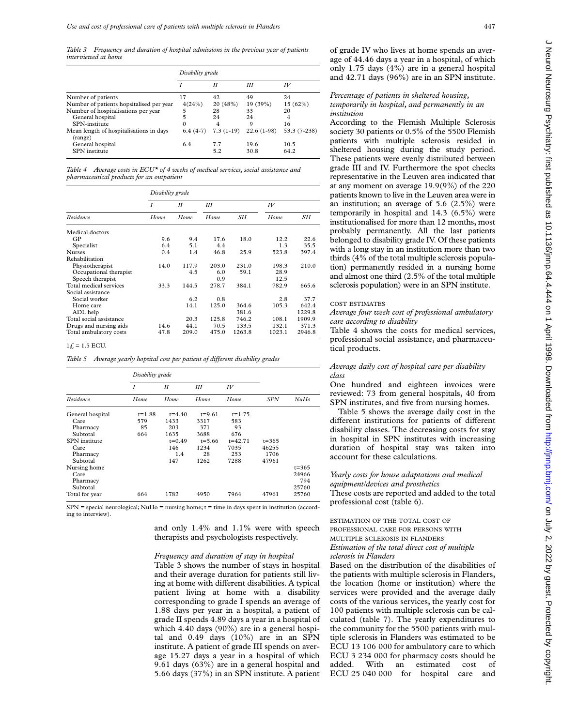*Table 3 Frequency and duration of hospital admissions in the previous year of patients interviewed at home*

|                                                    | Disability grade |             |              |              |  |  |  |
|----------------------------------------------------|------------------|-------------|--------------|--------------|--|--|--|
|                                                    |                  | Н           | Ш            | IV           |  |  |  |
| Number of patients                                 | 17               | 42          | 49           | 24           |  |  |  |
| Number of patients hopsitalised per year           | 4(24%)           | 20(48%)     | 19 (39%)     | 15(62%)      |  |  |  |
| Number of hospitalisations per year                | 5                | 28          | 33           | 20           |  |  |  |
| General hospital                                   | 5                | 24          | 24           | 4            |  |  |  |
| SPN-institute                                      | 0                | 4           | 9            | 16           |  |  |  |
| Mean length of hospitalisations in days<br>(range) | $6.4(4-7)$       | $7.3(1-19)$ | $22.6(1-98)$ | 53.3 (7-238) |  |  |  |
| General hospital                                   | 6.4              | 7.7         | 19.6         | 10.5         |  |  |  |
| <b>SPN</b> institute                               |                  | 5.2         | 30.8         | 64.2         |  |  |  |

*Table 4 Average costs in ECU\* of 4 weeks of medical services, social assistance and pharmaceutical products for an outpatient*

|                         | Disability grade |       |       |        |        |        |  |  |  |  |
|-------------------------|------------------|-------|-------|--------|--------|--------|--|--|--|--|
|                         | $\boldsymbol{I}$ | П     | Ш     |        | IV     |        |  |  |  |  |
| Residence               | Home             | Home  | Home  | SΗ     | Home   | SΗ     |  |  |  |  |
| Medical doctors         |                  |       |       |        |        |        |  |  |  |  |
| GP                      | 9.6              | 9.4   | 17.6  | 18.0   | 12.2   | 22.6   |  |  |  |  |
| Specialist              | 6.4              | 5.1   | 4.4   |        | 1.3    | 35.5   |  |  |  |  |
| <b>Nurses</b>           | 0.4              | 1.4   | 46.8  | 25.9   | 523.8  | 397.4  |  |  |  |  |
| Rehabilitation          |                  |       |       |        |        |        |  |  |  |  |
| Physiotherapist         | 14.0             | 117.9 | 203.0 | 231.0  | 198.3  | 210.0  |  |  |  |  |
| Occupational therapist  |                  | 4.5   | 6.0   | 59.1   | 28.9   |        |  |  |  |  |
| Speech therapist        |                  |       | 0.9   |        | 12.5   |        |  |  |  |  |
| Total medical services  | 33.3             | 144.5 | 278.7 | 384.1  | 782.9  | 665.6  |  |  |  |  |
| Social assistance       |                  |       |       |        |        |        |  |  |  |  |
| Social worker           |                  | 6.2   | 0.8   |        | 2.8    | 37.7   |  |  |  |  |
| Home care               |                  | 14.1  | 125.0 | 364.6  | 105.3  | 642.4  |  |  |  |  |
| ADL help                |                  |       |       | 381.6  |        | 1229.8 |  |  |  |  |
| Total social assistance |                  | 20.3  | 125.8 | 746.2  | 108.1  | 1909.9 |  |  |  |  |
| Drugs and nursing aids  | 14.6             | 44.1  | 70.5  | 133.5  | 132.1  | 371.3  |  |  |  |  |
| Total ambulatory costs  | 47.8             | 209.0 | 475.0 | 1263.8 | 1023.1 | 2946.8 |  |  |  |  |

 $1f = 1.5$  ECU.

*Table 5 Average yearly hopsital cost per patient of different disability grades* 

|                      |                  | Disability grade |            |             |            |           |
|----------------------|------------------|------------------|------------|-------------|------------|-----------|
|                      | $\boldsymbol{I}$ | II               | Ш          | IV          |            |           |
| Residence            | Home             | Home             | Home       | Home        | <b>SPN</b> | NuHo      |
| General hospital     | $t = 1.88$       | $t = 4.40$       | $t = 9.61$ | $t = 1.75$  |            |           |
| Care                 | 579              | 1433             | 3317       | 583         |            |           |
| Pharmacy             | 85               | 203              | 371        | 93          |            |           |
| Subtotal             | 664              | 1635             | 3688       | 676         |            |           |
| <b>SPN</b> institute |                  | $t = 0.49$       | $t = 5.66$ | $t = 42.71$ | $t = 365$  |           |
| Care                 |                  | 146              | 1234       | 7035        | 46255      |           |
| Pharmacy             |                  | 1.4              | 28         | 253         | 1706       |           |
| Subtotal             |                  | 147              | 1262       | 7288        | 47961      |           |
| Nursing home         |                  |                  |            |             |            | $t = 365$ |
| Care                 |                  |                  |            |             |            | 24966     |
| Pharmacy             |                  |                  |            |             |            | 794       |
| Subtotal             |                  |                  |            |             |            | 25760     |
| Total for year       | 664              | 1782             | 4950       | 7964        | 47961      | 25760     |

SPN = special neurological; NuHo = nursing home; t = time in days spent in institution (according to interview).

> and only 1.4% and 1.1% were with speech therapists and psychologists respectively.

## *Frequency and duration of stay in hospital*

Table 3 shows the number of stays in hospital and their average duration for patients still living at home with different disabilities. A typical patient living at home with a disability corresponding to grade I spends an average of 1.88 days per year in a hospital, a patient of grade II spends 4.89 days a year in a hospital of which 4.40 days (90%) are in a general hospital and 0.49 days (10%) are in an SPN institute. A patient of grade III spends on average 15.27 days a year in a hospital of which 9.61 days (63%) are in a general hospital and 5.66 days (37%) in an SPN institute. A patient

of grade IV who lives at home spends an average of 44.46 days a year in a hospital, of which only 1.75 days (4%) are in a general hospital and 42.71 days (96%) are in an SPN institute.

## *Percentage of patients in sheltered housing, temporarily in hospital, and permanently in an institution*

According to the Flemish Multiple Sclerosis society 30 patients or 0.5% of the 5500 Flemish patients with multiple sclerosis resided in sheltered housing during the study period. These patients were evenly distributed between grade III and IV. Furthermore the spot checks representative in the Leuven area indicated that at any moment on average 19.9(9%) of the 220 patients known to live in the Leuven area were in an institution; an average of 5.6 (2.5%) were temporarily in hospital and 14.3 (6.5%) were institutionalised for more than 12 months, most probably permanently. All the last patients belonged to disability grade IV. Of these patients with a long stay in an institution more than two thirds (4% of the total multiple sclerosis population) permanently resided in a nursing home and almost one third (2.5% of the total multiple sclerosis population) were in an SPN institute.

#### COST ESTIMATES

*Average four week cost of professional ambulatory care according to disability*

Table 4 shows the costs for medical services, professional social assistance, and pharmaceutical products.

# *Average daily cost of hospital care per disability class*

One hundred and eighteen invoices were reviewed: 73 from general hospitals, 40 from SPN institutes, and five from nursing homes.

Table 5 shows the average daily cost in the different institutions for patients of different disability classes. The decreasing costs for stay in hospital in SPN institutes with increasing duration of hospital stay was taken into account for these calculations.

# *Yearly costs for house adaptations and medical equipment/devices and prosthetics* These costs are reported and added to the total professional cost (table 6).

# ESTIMATION OF THE TOTAL COST OF PROFESSIONAL CARE FOR PERSONS WITH MULTIPLE SCLEROSIS IN FLANDERS *Estimation of the total direct cost of multiple sclerosis in Flanders*

Based on the distribution of the disabilities of the patients with multiple sclerosis in Flanders, the location (home or institution) where the services were provided and the average daily costs of the various services, the yearly cost for 100 patients with multiple sclerosis can be calculated (table 7). The yearly expenditures to the community for the 5500 patients with multiple sclerosis in Flanders was estimated to be ECU 13 106 000 for ambulatory care to which ECU 3 234 000 for pharmacy costs should be added. With an estimated cost of ECU 25 040 000 for hospital care and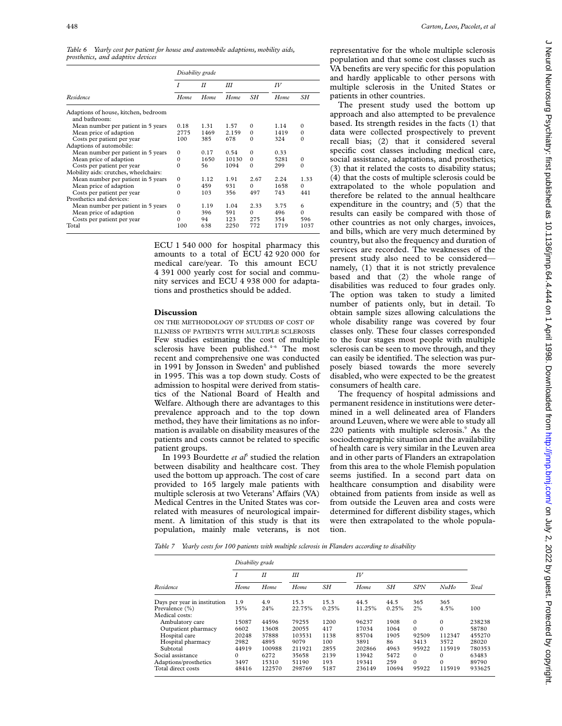*Table 6 Yearly cost per patient for house and automobile adaptions, mobility aids, prosthetics, and adaptive devices*

|                                                       | Disability grade |      |       |          |      |          |  |
|-------------------------------------------------------|------------------|------|-------|----------|------|----------|--|
|                                                       | I<br>$_{II}$     |      | Ш     |          | IV   |          |  |
| Residence                                             | Home             | Home | Home  | SН       | Home | SН       |  |
| Adaptions of house, kitchen, bedroom<br>and hathroom. |                  |      |       |          |      |          |  |
| Mean number per patient in 5 years                    | 0.18             | 1.31 | 1.57  | $\Omega$ | 1.14 | $\Omega$ |  |
| Mean price of adaption                                | 2775             | 1469 | 2.159 | $\Omega$ | 1419 | $\Omega$ |  |
| Costs per patient per year                            | 100              | 385  | 678   | $\Omega$ | 324  | $\Omega$ |  |
| Adaptions of automobile:                              |                  |      |       |          |      |          |  |
| Mean number per patient in 5 years                    | $\Omega$         | 0.17 | 0.54  | $\Omega$ | 0.33 |          |  |
| Mean price of adaption                                | $\Omega$         | 1650 | 10130 | $\Omega$ | 5281 | $\Omega$ |  |
| Costs per patient per year                            | $\Omega$         | 56   | 1094  | $\Omega$ | 299  | $\Omega$ |  |
| Mobility aids: crutches, wheelchairs:                 |                  |      |       |          |      |          |  |
| Mean number per patient in 5 years                    | $\Omega$         | 1.12 | 1.91  | 2.67     | 2.24 | 1.33     |  |
| Mean price of adaption                                | $\Omega$         | 459  | 931   | $\Omega$ | 1658 | $\Omega$ |  |
| Costs per patient per year                            | $\Omega$         | 103  | 356   | 497      | 743  | 441      |  |
| Prosthetics and devices:                              |                  |      |       |          |      |          |  |
| Mean number per patient in 5 years                    | $\Omega$         | 1.19 | 1.04  | 2.33     | 3.75 | 6        |  |
| Mean price of adaption                                | $\Omega$         | 396  | 591   | $\Omega$ | 496  | $\Omega$ |  |
| Costs per patient per year                            | $\Omega$         | 94   | 123   | 275      | 354  | 596      |  |
| Total                                                 | 100              | 638  | 2250  | 772      | 1719 | 1037     |  |

ECU 1 540 000 for hospital pharmacy this amounts to a total of ECU 42 920 000 for medical care/year. To this amount ECU 4 391 000 yearly cost for social and community services and ECU 4 938 000 for adaptations and prosthetics should be added.

# **Discussion**

ON THE METHODOLOGY OF STUDIES OF COST OF ILLNESS OF PATIENTS WITH MULTIPLE SCLEROSIS Few studies estimating the cost of multiple sclerosis have been published.<sup>4-6</sup> The most recent and comprehensive one was conducted in 1991 by Jonsson in Sweden<sup>6</sup> and published in 1995. This was a top down study. Costs of admission to hospital were derived from statistics of the National Board of Health and Welfare. Although there are advantages to this prevalence approach and to the top down method, they have their limitations as no information is available on disability measures of the patients and costs cannot be related to specific patient groups.

In 1993 Bourdette *et al*<sup>5</sup> studied the relation between disability and healthcare cost. They used the bottom up approach. The cost of care provided to 165 largely male patients with multiple sclerosis at two Veterans' Affairs (VA) Medical Centres in the United States was correlated with measures of neurological impairment. A limitation of this study is that its population, mainly male veterans, is not representative for the whole multiple sclerosis population and that some cost classes such as VA benefits are very specific for this population and hardly applicable to other persons with multiple sclerosis in the United States or patients in other countries.

The present study used the bottom up approach and also attempted to be prevalence based. Its strength resides in the facts (1) that data were collected prospectively to prevent recall bias; (2) that it considered several specific cost classes including medical care, social assistance, adaptations, and prosthetics; (3) that it related the costs to disability status; (4) that the costs of multiple sclerosis could be extrapolated to the whole population and therefore be related to the annual healthcare expenditure in the country; and (5) that the results can easily be compared with those of other countries as not only charges, invoices, and bills, which are very much determined by country, but also the frequency and duration of services are recorded. The weaknesses of the present study also need to be considered namely, (1) that it is not strictly prevalence based and that (2) the whole range of disabilities was reduced to four grades only. The option was taken to study a limited number of patients only, but in detail. To obtain sample sizes allowing calculations the whole disability range was covered by four classes only. These four classes corresponded to the four stages most people with multiple sclerosis can be seen to move through, and they can easily be identified. The selection was purposely biased towards the more severely disabled, who were expected to be the greatest consumers of health care.

The frequency of hospital admissions and permanent residence in institutions were determined in a well delineated area of Flanders around Leuven, where we were able to study all 220 patients with multiple sclerosis.<sup>9</sup> As the sociodemographic situation and the availability of health care is very similar in the Leuven area and in other parts of Flanders an extrapolation from this area to the whole Flemish population seems justified. In a second part data on healthcare consumption and disability were obtained from patients from inside as well as from outside the Leuven area and costs were determined for different disbility stages, which were then extrapolated to the whole population.

*Table 7 Yearly costs for 100 patients with multiple sclerosis in Flanders according to disability*

| Residence                    | Disability grade |        |        |       |        |       |            |              |        |
|------------------------------|------------------|--------|--------|-------|--------|-------|------------|--------------|--------|
|                              | I                | П      | Ш      |       | IV     |       |            |              |        |
|                              | Home             | Home   | Home   | SΗ    | Home   | SΗ    | <b>SPN</b> | NuHo         | Total  |
| Days per year in institution | 1.9              | 4.9    | 15.3   | 15.3  | 44.5   | 44.5  | 365        | 365          |        |
| Prevalence $(\% )$           | 35%              | 24%    | 22.75% | 0.25% | 11.25% | 0.25% | 2%         | 4.5%         | 100    |
| Medical costs:               |                  |        |        |       |        |       |            |              |        |
| Ambulatory care              | 15087            | 44596  | 79255  | 1200  | 96237  | 1908  | $\Omega$   | $\mathbf{0}$ | 238238 |
| Outpatient pharmacy          | 6602             | 13608  | 20055  | 417   | 17034  | 1064  | $\Omega$   | $\Omega$     | 58780  |
| Hospital care                | 20248            | 37888  | 103531 | 1138  | 85704  | 1905  | 92509      | 112347       | 455270 |
| Hospital pharmacy            | 2982             | 4895   | 9079   | 100   | 3891   | 86    | 3413       | 3572         | 28020  |
| Subtotal                     | 44919            | 100988 | 211921 | 2855  | 202866 | 4963  | 95922      | 115919       | 780353 |
| Social assistance            | $\Omega$         | 6272   | 35658  | 2139  | 13942  | 5472  | $\Omega$   | $\Omega$     | 63483  |
| Adaptions/prosthetics        | 3497             | 15310  | 51190  | 193   | 19341  | 259   | $\Omega$   | $\Omega$     | 89790  |
| Total direct costs           | 48416            | 122570 | 298769 | 5187  | 236149 | 10694 | 95922      | 115919       | 933625 |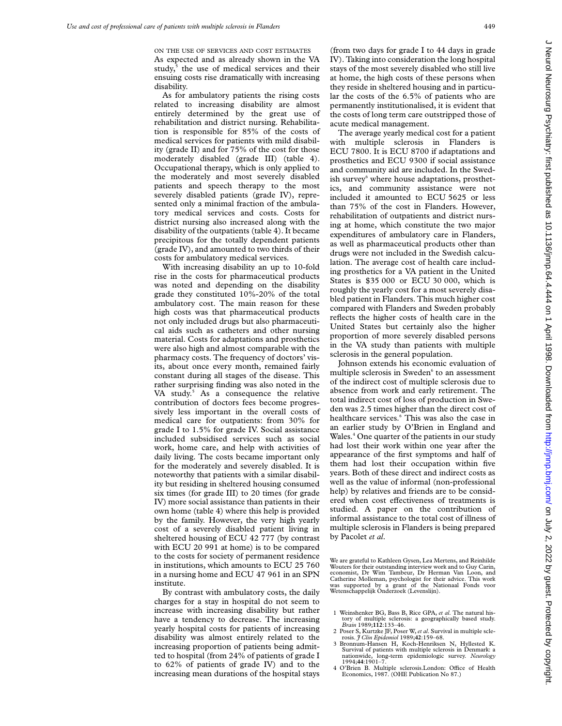ON THE USE OF SERVICES AND COST ESTIMATES As expected and as already shown in the VA study,<sup>5</sup> the use of medical services and their ensuing costs rise dramatically with increasing disability.

As for ambulatory patients the rising costs related to increasing disability are almost entirely determined by the great use of rehabilitation and district nursing. Rehabilitation is responsible for 85% of the costs of medical services for patients with mild disability (grade II) and for 75% of the cost for those moderately disabled (grade III) (table 4). Occupational therapy, which is only applied to the moderately and most severely disabled patients and speech therapy to the most severely disabled patients (grade IV), represented only a minimal fraction of the ambulatory medical services and costs. Costs for district nursing also increased along with the disability of the outpatients (table 4). It became precipitous for the totally dependent patients (grade IV), and amounted to two thirds of their costs for ambulatory medical services.

With increasing disability an up to 10-fold rise in the costs for pharmaceutical products was noted and depending on the disability grade they constituted 10%-20% of the total ambulatory cost. The main reason for these high costs was that pharmaceutical products not only included drugs but also pharmaceutical aids such as catheters and other nursing material. Costs for adaptations and prosthetics were also high and almost comparable with the pharmacy costs. The frequency of doctors' visits, about once every month, remained fairly constant during all stages of the disease. This rather surprising finding was also noted in the VA study.<sup>5</sup> As a consequence the relative contribution of doctors fees become progressively less important in the overall costs of medical care for outpatients: from 30% for grade I to 1.5% for grade IV. Social assistance included subsidised services such as social work, home care, and help with activities of daily living. The costs became important only for the moderately and severely disabled. It is noteworthy that patients with a similar disability but residing in sheltered housing consumed six times (for grade III) to 20 times (for grade IV) more social assistance than patients in their own home (table 4) where this help is provided by the family. However, the very high yearly cost of a severely disabled patient living in sheltered housing of ECU 42 777 (by contrast with ECU 20 991 at home) is to be compared to the costs for society of permanent residence in institutions, which amounts to ECU 25 760 in a nursing home and ECU 47 961 in an SPN institute.

By contrast with ambulatory costs, the daily charges for a stay in hospital do not seem to increase with increasing disability but rather have a tendency to decrease. The increasing yearly hospital costs for patients of increasing disability was almost entirely related to the increasing proportion of patients being admitted to hospital (from 24% of patients of grade I to 62% of patients of grade IV) and to the increasing mean durations of the hospital stays (from two days for grade I to 44 days in grade IV). Taking into consideration the long hospital stays of the most severely disabled who still live at home, the high costs of these persons when they reside in sheltered housing and in particular the costs of the 6.5% of patients who are permanently institutionalised, it is evident that the costs of long term care outstripped those of acute medical management.

The average yearly medical cost for a patient with multiple sclerosis in Flanders is ECU 7800. It is ECU 8700 if adaptations and prosthetics and ECU 9300 if social assistance and community aid are included. In the Swedish survey<sup>6</sup> where house adaptations, prosthetics, and community assistance were not included it amounted to ECU 5625 or less than 75% of the cost in Flanders. However, rehabilitation of outpatients and district nursing at home, which constitute the two major expenditures of ambulatory care in Flanders, as well as pharmaceutical products other than drugs were not included in the Swedish calculation. The average cost of health care including prosthetics for a VA patient in the United States is \$35 000 or ECU 30 000, which is roughly the yearly cost for a most severely disabled patient in Flanders. This much higher cost compared with Flanders and Sweden probably reflects the higher costs of health care in the United States but certainly also the higher proportion of more severely disabled persons in the VA study than patients with multiple sclerosis in the general population.

Johnson extends his economic evaluation of multiple sclerosis in Sweden<sup>6</sup> to an assessment of the indirect cost of multiple sclerosis due to absence from work and early retirement. The total indirect cost of loss of production in Sweden was 2.5 times higher than the direct cost of healthcare services.<sup>6</sup> This was also the case in an earlier study by O'Brien in England and Wales.<sup>4</sup> One quarter of the patients in our study had lost their work within one year after the appearance of the first symptoms and half of them had lost their occupation within five years. Both of these direct and indirect costs as well as the value of informal (non-professional help) by relatives and friends are to be considered when cost effectiveness of treatments is studied. A paper on the contribution of informal assistance to the total cost of illness of multiple sclerosis in Flanders is being prepared by Pacolet *et al*.

We are grateful to Kathleen Gysen, Lea Mertens, and Reinhilde Wouters for their outstanding interview work and to Guy Carin, economist, Dr Wim Tambeur, Dr Herman Van Loon, and Catherine Molleman, psychologist for their advice. This work was supported by a grant of the Nationaal Fonds voor Wetenschappelijk Onderzoek (Levenslijn).

- 1 Weinshenker BG, Bass B, Rice GPA, *et al*. The natural history of multiple sclerosis: a geographically based study. *Brain* 1989;**112**:133–46.
- 2 Poser S, Kurtzke JF, Poser W, *et al*. Survival in multiple sclerosis. *J Clin Epidemiol* 1989;**42**:159–68.
- 3 Bronnum-Hansen H, Koch-Henriksen N, Hyllested K. Survival of patients with multiple sclerosis in Denmark: a nationwide, long-term epidemiologic survey. *Neurology* 1994;**44**:1901–7.
- 4 O'Brien B. Multiple sclerosis.London: Office of Health Economics, 1987. (OHE Publication No 87.)